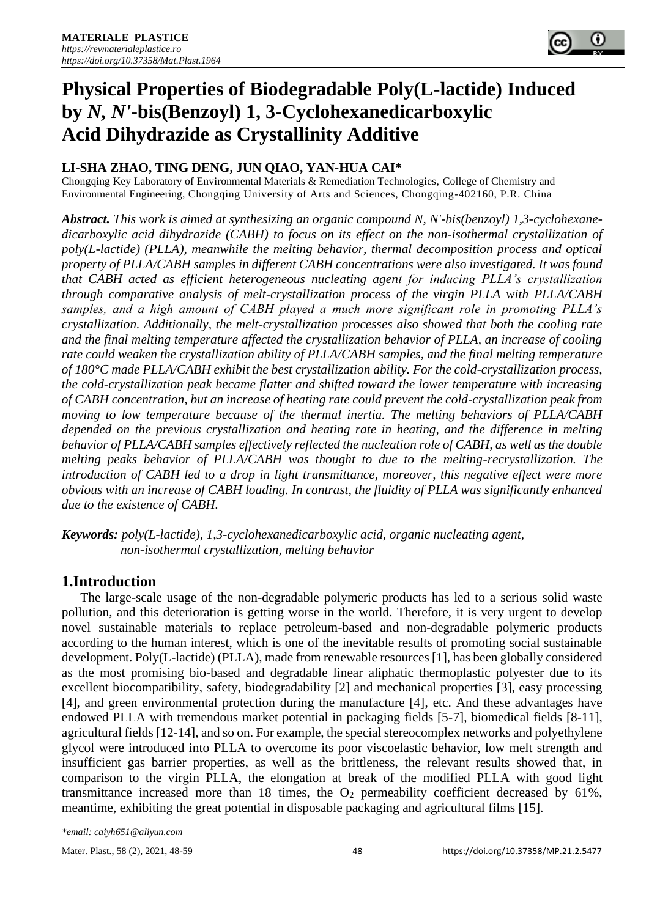# **Physical Properties of Biodegradable Poly(L-lactide) Induced by** *N, N'***-bis(Benzoyl) 1, 3-Cyclohexanedicarboxylic Acid Dihydrazide as Crystallinity Additive**

## **LI-SHA ZHAO, TING DENG, JUN QIAO, YAN-HUA CAI\***

Chongqing Key Laboratory of Environmental Materials & Remediation Technologies, College of Chemistry and Environmental Engineering, Chongqing University of Arts and Sciences, Chongqing-402160, P.R. China

*Abstract. This work is aimed at synthesizing an organic compound N, N'-bis(benzoyl) 1,3-cyclohexanedicarboxylic acid dihydrazide (CABH) to focus on its effect on the non-isothermal crystallization of poly(L-lactide) (PLLA), meanwhile the melting behavior, thermal decomposition process and optical property of PLLA/CABH samples in different CABH concentrations were also investigated. It was found that CABH acted as efficient heterogeneous nucleating agent for inducing PLLA's crystallization through comparative analysis of melt-crystallization process of the virgin PLLA with PLLA/CABH samples, and a high amount of CABH played a much more significant role in promoting PLLA's crystallization. Additionally, the melt-crystallization processes also showed that both the cooling rate and the final melting temperature affected the crystallization behavior of PLLA, an increase of cooling rate could weaken the crystallization ability of PLLA/CABH samples, and the final melting temperature of 180°C made PLLA/CABH exhibit the best crystallization ability. For the cold-crystallization process, the cold-crystallization peak became flatter and shifted toward the lower temperature with increasing of CABH concentration, but an increase of heating rate could prevent the cold-crystallization peak from moving to low temperature because of the thermal inertia. The melting behaviors of PLLA/CABH depended on the previous crystallization and heating rate in heating, and the difference in melting behavior of PLLA/CABH samples effectively reflected the nucleation role of CABH, as well as the double melting peaks behavior of PLLA/CABH was thought to due to the melting-recrystallization. The introduction of CABH led to a drop in light transmittance, moreover, this negative effect were more obvious with an increase of CABH loading. In contrast, the fluidity of PLLA was significantly enhanced due to the existence of CABH.*

*Keywords: poly(L-lactide), 1,3-cyclohexanedicarboxylic acid, organic nucleating agent, non-isothermal crystallization, melting behavior*

# **1.Introduction**

The large-scale usage of the non-degradable polymeric products has led to a serious solid waste pollution, and this deterioration is getting worse in the world. Therefore, it is very urgent to develop novel sustainable materials to replace petroleum-based and non-degradable polymeric products according to the human interest, which is one of the inevitable results of promoting social sustainable development. Poly(L-lactide) (PLLA), made from renewable resources [1], has been globally considered as the most promising bio-based and degradable linear aliphatic thermoplastic polyester due to its excellent biocompatibility, safety, biodegradability [2] and mechanical properties [3], easy processing [4], and green environmental protection during the manufacture [4], etc. And these advantages have endowed PLLA with tremendous market potential in packaging fields [5-7], biomedical fields [8-11], agricultural fields [12-14], and so on. For example, the special stereocomplex networks and polyethylene glycol were introduced into PLLA to overcome its poor viscoelastic behavior, low melt strength and insufficient gas barrier properties, as well as the brittleness, the relevant results showed that, in comparison to the virgin PLLA, the elongation at break of the modified PLLA with good light transmittance increased more than 18 times, the  $O<sub>2</sub>$  permeability coefficient decreased by 61%, meantime, exhibiting the great potential in disposable packaging and agricultural films [15].

*<sup>\*</sup>email: caiyh651@aliyun.com*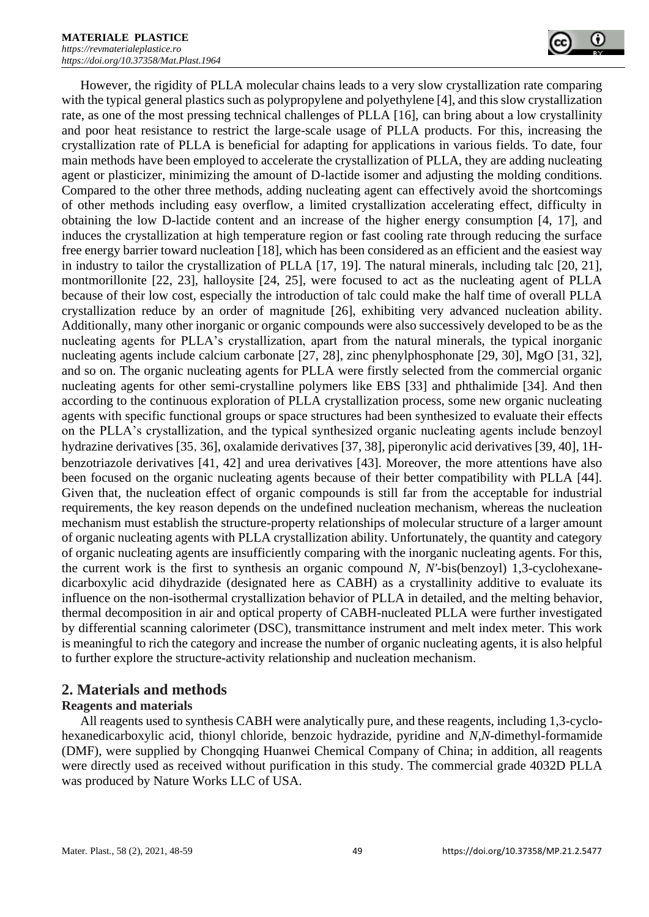However, the rigidity of PLLA molecular chains leads to a very slow crystallization rate comparing with the typical general plastics such as polypropylene and polyethylene [4], and this slow crystallization rate, as one of the most pressing technical challenges of PLLA [16], can bring about a low crystallinity and poor heat resistance to restrict the large-scale usage of PLLA products. For this, increasing the crystallization rate of PLLA is beneficial for adapting for applications in various fields. To date, four main methods have been employed to accelerate the crystallization of PLLA, they are adding nucleating agent or plasticizer, minimizing the amount of D-lactide isomer and adjusting the molding conditions. Compared to the other three methods, adding nucleating agent can effectively avoid the shortcomings of other methods including easy overflow, a limited crystallization accelerating effect, difficulty in obtaining the low D-lactide content and an increase of the higher energy consumption [4, 17], and induces the crystallization at high temperature region or fast cooling rate through reducing the surface free energy barrier toward nucleation [18], which has been considered as an efficient and the easiest way in industry to tailor the crystallization of PLLA [17, 19]. The natural minerals, including talc [20, 21], montmorillonite [22, 23], halloysite [24, 25], were focused to act as the nucleating agent of PLLA because of their low cost, especially the introduction of talc could make the half time of overall PLLA crystallization reduce by an order of magnitude [26], exhibiting very advanced nucleation ability. Additionally, many other inorganic or organic compounds were also successively developed to be as the nucleating agents for PLLA's crystallization, apart from the natural minerals, the typical inorganic nucleating agents include calcium carbonate [27, 28], zinc phenylphosphonate [29, 30], MgO [31, 32], and so on. The organic nucleating agents for PLLA were firstly selected from the commercial organic nucleating agents for other semi-crystalline polymers like EBS [33] and phthalimide [34]. And then according to the continuous exploration of PLLA crystallization process, some new organic nucleating agents with specific functional groups or space structures had been synthesized to evaluate their effects on the PLLA's crystallization, and the typical synthesized organic nucleating agents include benzoyl hydrazine derivatives [35,36], oxalamide derivatives [37, 38], piperonylic acid derivatives [39, 40], 1Hbenzotriazole derivatives [41, 42] and urea derivatives [43]. Moreover, the more attentions have also been focused on the organic nucleating agents because of their better compatibility with PLLA [44]. Given that, the nucleation effect of organic compounds is still far from the acceptable for industrial requirements, the key reason depends on the undefined nucleation mechanism, whereas the nucleation mechanism must establish the structure-property relationships of molecular structure of a larger amount of organic nucleating agents with PLLA crystallization ability. Unfortunately, the quantity and category of organic nucleating agents are insufficiently comparing with the inorganic nucleating agents. For this, the current work is the first to synthesis an organic compound *N, N'*-bis(benzoyl) 1,3-cyclohexanedicarboxylic acid dihydrazide (designated here as CABH) as a crystallinity additive to evaluate its influence on the non-isothermal crystallization behavior of PLLA in detailed, and the melting behavior, thermal decomposition in air and optical property of CABH-nucleated PLLA were further investigated by differential scanning calorimeter (DSC), transmittance instrument and melt index meter. This work is meaningful to rich the category and increase the number of organic nucleating agents, it is also helpful to further explore the structure-activity relationship and nucleation mechanism.

## **2. Materials and methods**

## **Reagents and materials**

All reagents used to synthesis CABH were analytically pure, and these reagents, including 1,3-cyclohexanedicarboxylic acid, thionyl chloride, benzoic hydrazide, pyridine and *N,N*-dimethyl-formamide (DMF), were supplied by Chongqing Huanwei Chemical Company of China; in addition, all reagents were directly used as received without purification in this study. The commercial grade 4032D PLLA was produced by Nature Works LLC of USA.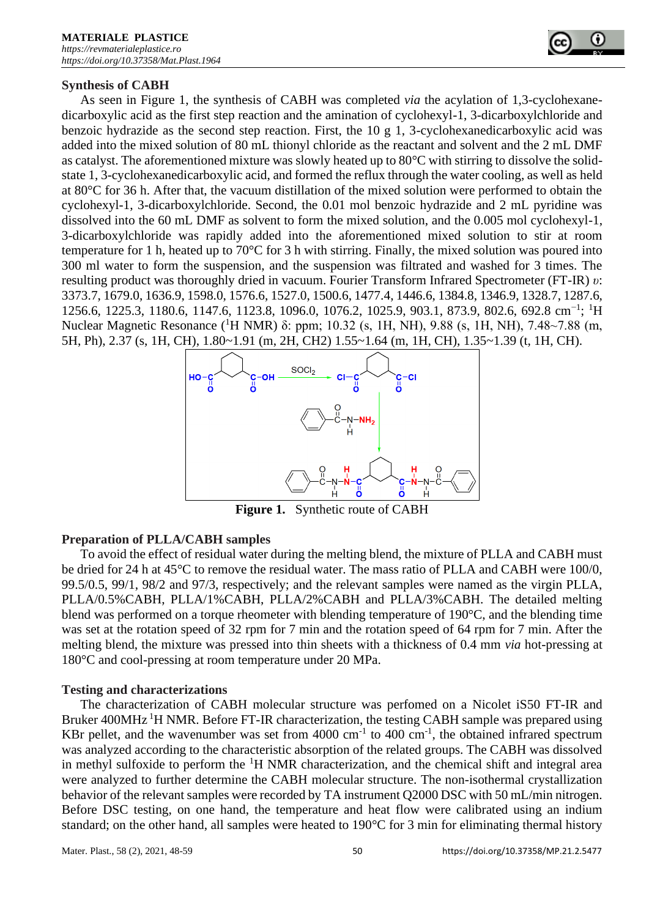

#### **Synthesis of CABH**

As seen in Figure 1, the synthesis of CABH was completed *via* the acylation of 1,3-cyclohexanedicarboxylic acid as the first step reaction and the amination of cyclohexyl-1, 3-dicarboxylchloride and benzoic hydrazide as the second step reaction. First, the 10 g 1, 3-cyclohexanedicarboxylic acid was added into the mixed solution of 80 mL thionyl chloride as the reactant and solvent and the 2 mL DMF as catalyst. The aforementioned mixture was slowly heated up to 80°C with stirring to dissolve the solidstate 1, 3-cyclohexanedicarboxylic acid, and formed the reflux through the water cooling, as well as held at 80°C for 36 h. After that, the vacuum distillation of the mixed solution were performed to obtain the cyclohexyl-1, 3-dicarboxylchloride. Second, the 0.01 mol benzoic hydrazide and 2 mL pyridine was dissolved into the 60 mL DMF as solvent to form the mixed solution, and the 0.005 mol cyclohexyl-1, 3-dicarboxylchloride was rapidly added into the aforementioned mixed solution to stir at room temperature for 1 h, heated up to 70°C for 3 h with stirring. Finally, the mixed solution was poured into 300 ml water to form the suspension, and the suspension was filtrated and washed for 3 times. The resulting product was thoroughly dried in vacuum. Fourier Transform Infrared Spectrometer (FT-IR) *υ*: 3373.7, 1679.0, 1636.9, 1598.0, 1576.6, 1527.0, 1500.6, 1477.4, 1446.6, 1384.8, 1346.9, 1328.7, 1287.6, 1256.6, 1225.3, 1180.6, 1147.6, 1123.8, 1096.0, 1076.2, 1025.9, 903.1, 873.9, 802.6, 692.8 cm<sup>-1</sup>; <sup>1</sup>H Nuclear Magnetic Resonance (<sup>1</sup>H NMR) δ: ppm; 10.32 (s, 1H, NH), 9.88 (s, 1H, NH), 7.48~7.88 (m, 5H, Ph), 2.37 (s, 1H, CH), 1.80~1.91 (m, 2H, CH2) 1.55~1.64 (m, 1H, CH), 1.35~1.39 (t, 1H, CH).



**Figure 1.** Synthetic route of CABH

#### **Preparation of PLLA/CABH samples**

To avoid the effect of residual water during the melting blend, the mixture of PLLA and CABH must be dried for 24 h at 45°C to remove the residual water. The mass ratio of PLLA and CABH were 100/0, 99.5/0.5, 99/1, 98/2 and 97/3, respectively; and the relevant samples were named as the virgin PLLA, PLLA/0.5%CABH, PLLA/1%CABH, PLLA/2%CABH and PLLA/3%CABH. The detailed melting blend was performed on a torque rheometer with blending temperature of 190°C, and the blending time was set at the rotation speed of 32 rpm for 7 min and the rotation speed of 64 rpm for 7 min. After the melting blend, the mixture was pressed into thin sheets with a thickness of 0.4 mm *via* hot-pressing at 180°C and cool-pressing at room temperature under 20 MPa.

#### **Testing and characterizations**

The characterization of CABH molecular structure was perfomed on a Nicolet iS50 FT-IR and Bruker 400MHz <sup>1</sup>H NMR. Before FT-IR characterization, the testing CABH sample was prepared using KBr pellet, and the wavenumber was set from  $4000 \text{ cm}^{-1}$  to  $400 \text{ cm}^{-1}$ , the obtained infrared spectrum was analyzed according to the characteristic absorption of the related groups. The CABH was dissolved in methyl sulfoxide to perform the  ${}^{1}H$  NMR characterization, and the chemical shift and integral area were analyzed to further determine the CABH molecular structure. The non-isothermal crystallization behavior of the relevant samples were recorded by TA instrument Q2000 DSC with 50 mL/min nitrogen. Before DSC testing, on one hand, the temperature and heat flow were calibrated using an indium standard; on the other hand, all samples were heated to 190°C for 3 min for eliminating thermal history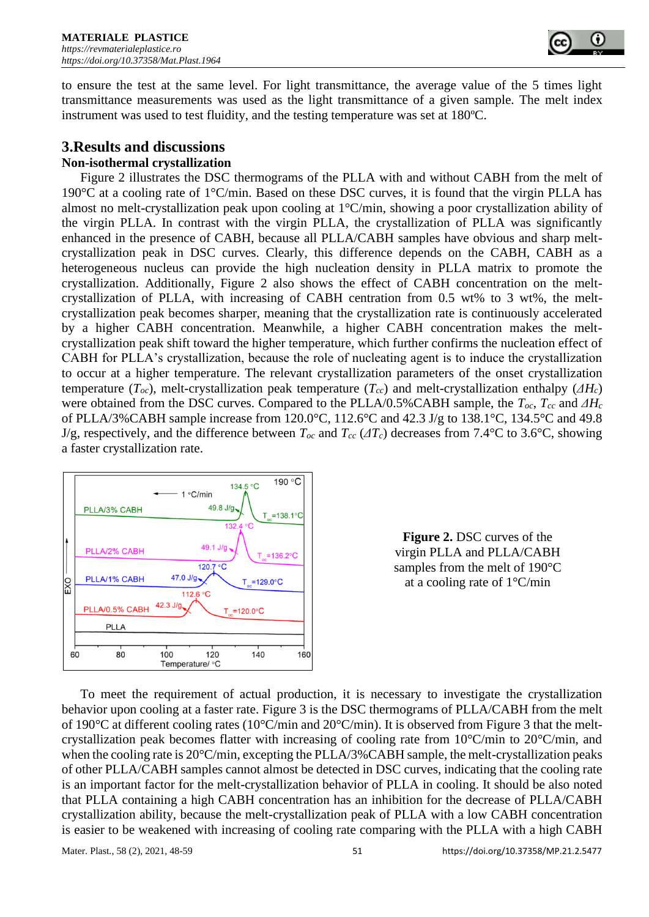

to ensure the test at the same level. For light transmittance, the average value of the 5 times light transmittance measurements was used as the light transmittance of a given sample. The melt index instrument was used to test fluidity, and the testing temperature was set at 180ºC.

## **3.Results and discussions**

## **Non-isothermal crystallization**

Figure 2 illustrates the DSC thermograms of the PLLA with and without CABH from the melt of 190°C at a cooling rate of 1°C/min. Based on these DSC curves, it is found that the virgin PLLA has almost no melt-crystallization peak upon cooling at 1°C/min, showing a poor crystallization ability of the virgin PLLA. In contrast with the virgin PLLA, the crystallization of PLLA was significantly enhanced in the presence of CABH, because all PLLA/CABH samples have obvious and sharp meltcrystallization peak in DSC curves. Clearly, this difference depends on the CABH, CABH as a heterogeneous nucleus can provide the high nucleation density in PLLA matrix to promote the crystallization. Additionally, Figure 2 also shows the effect of CABH concentration on the meltcrystallization of PLLA, with increasing of CABH centration from 0.5 wt% to 3 wt%, the meltcrystallization peak becomes sharper, meaning that the crystallization rate is continuously accelerated by a higher CABH concentration. Meanwhile, a higher CABH concentration makes the meltcrystallization peak shift toward the higher temperature, which further confirms the nucleation effect of CABH for PLLA's crystallization, because the role of nucleating agent is to induce the crystallization to occur at a higher temperature. The relevant crystallization parameters of the onset crystallization temperature  $(T_{oc})$ , melt-crystallization peak temperature  $(T_{cc})$  and melt-crystallization enthalpy  $(\Delta H_c)$ were obtained from the DSC curves. Compared to the PLLA/0.5%CABH sample, the *Toc*, *Tcc* and *ΔH<sup>c</sup>* of PLLA/3%CABH sample increase from 120.0°C, 112.6°C and 42.3 J/g to 138.1°C, 134.5°C and 49.8 J/g, respectively, and the difference between  $T_{oc}$  and  $T_{cc}$  ( $AT_c$ ) decreases from 7.4°C to 3.6°C, showing a faster crystallization rate.





To meet the requirement of actual production, it is necessary to investigate the crystallization behavior upon cooling at a faster rate. Figure 3 is the DSC thermograms of PLLA/CABH from the melt of 190 $\degree$ C at different cooling rates (10 $\degree$ C/min and 20 $\degree$ C/min). It is observed from Figure 3 that the meltcrystallization peak becomes flatter with increasing of cooling rate from 10°C/min to 20°C/min, and when the cooling rate is 20°C/min, excepting the PLLA/3% CABH sample, the melt-crystallization peaks of other PLLA/CABH samples cannot almost be detected in DSC curves, indicating that the cooling rate is an important factor for the melt-crystallization behavior of PLLA in cooling. It should be also noted that PLLA containing a high CABH concentration has an inhibition for the decrease of PLLA/CABH crystallization ability, because the melt-crystallization peak of PLLA with a low CABH concentration is easier to be weakened with increasing of cooling rate comparing with the PLLA with a high CABH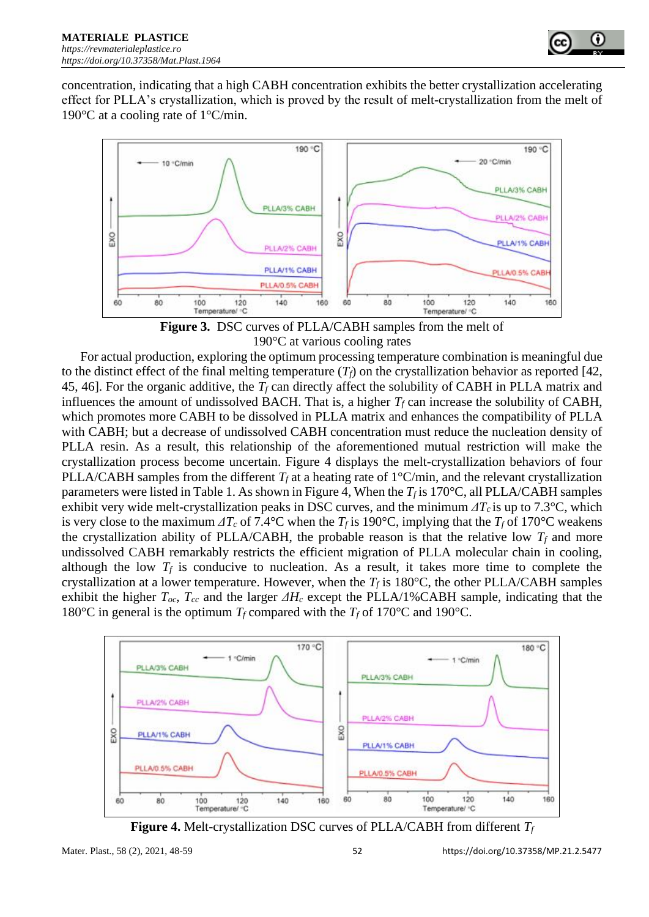

concentration, indicating that a high CABH concentration exhibits the better crystallization accelerating effect for PLLA's crystallization, which is proved by the result of melt-crystallization from the melt of 190°C at a cooling rate of 1°C/min.



**Figure 3.** DSC curves of PLLA/CABH samples from the melt of 190°C at various cooling rates

For actual production, exploring the optimum processing temperature combination is meaningful due to the distinct effect of the final melting temperature  $(T_f)$  on the crystallization behavior as reported [42, 45, 46]. For the organic additive, the *T<sup>f</sup>* can directly affect the solubility of CABH in PLLA matrix and influences the amount of undissolved BACH. That is, a higher  $T_f$  can increase the solubility of CABH, which promotes more CABH to be dissolved in PLLA matrix and enhances the compatibility of PLLA with CABH; but a decrease of undissolved CABH concentration must reduce the nucleation density of PLLA resin. As a result, this relationship of the aforementioned mutual restriction will make the crystallization process become uncertain. Figure 4 displays the melt-crystallization behaviors of four PLLA/CABH samples from the different  $T_f$  at a heating rate of  $1^{\circ}$ C/min, and the relevant crystallization parameters were listed in Table 1. As shown in Figure 4, When the  $T_f$  is 170°C, all PLLA/CABH samples exhibit very wide melt-crystallization peaks in DSC curves, and the minimum  $\Delta T_c$  is up to 7.3°C, which is very close to the maximum  $\Delta T_c$  of 7.4°C when the  $T_f$  is 190°C, implying that the  $T_f$  of 170°C weakens the crystallization ability of PLLA/CABH, the probable reason is that the relative low  $T_f$  and more undissolved CABH remarkably restricts the efficient migration of PLLA molecular chain in cooling, although the low  $T_f$  is conducive to nucleation. As a result, it takes more time to complete the crystallization at a lower temperature. However, when the  $T_f$  is 180 $\degree$ C, the other PLLA/CABH samples exhibit the higher *Toc*, *Tcc* and the larger *ΔH<sup>c</sup>* except the PLLA/1%CABH sample, indicating that the 180°C in general is the optimum  $T_f$  compared with the  $T_f$  of 170°C and 190°C.



**Figure 4.** Melt-crystallization DSC curves of PLLA/CABH from different *T<sup>f</sup>*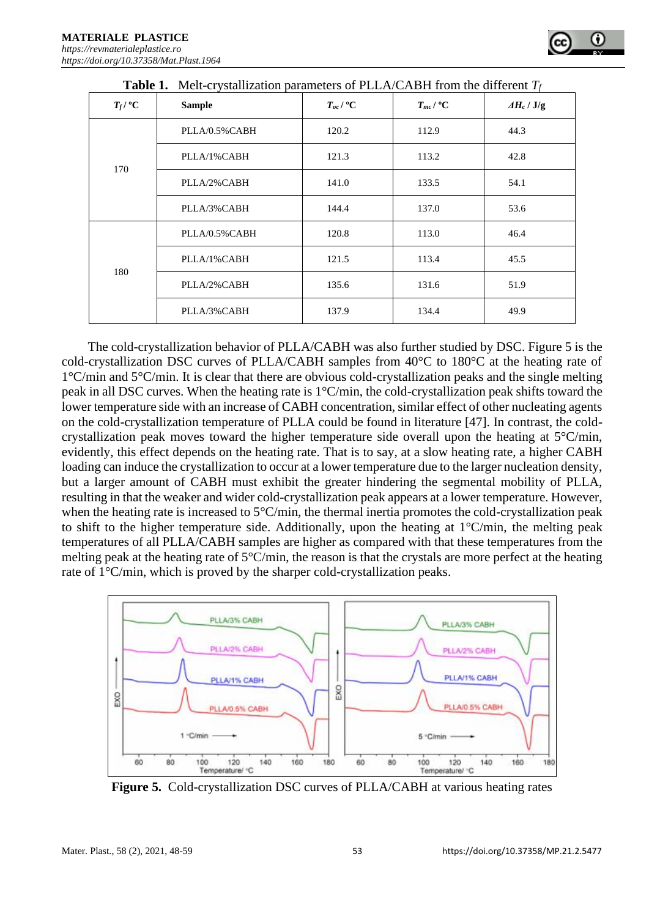| <b>Table 1.</b> Melt-crystallization parameters of PLLA/CABH from the different $T_f$ |                |                         |                         |                    |
|---------------------------------------------------------------------------------------|----------------|-------------------------|-------------------------|--------------------|
| $T_f/{}^{\circ}C$                                                                     | <b>Sample</b>  | $T_{oc}$ / $^{\circ}$ C | $T_{mc}$ / $^{\circ}$ C | $\Delta H_c / J/g$ |
| 170                                                                                   | PLLA/0.5%CABH  | 120.2                   | 112.9                   | 44.3               |
|                                                                                       | PLLA/1%CABH    | 121.3                   | 113.2                   | 42.8               |
|                                                                                       | PLLA/2%CABH    | 141.0                   | 133.5                   | 54.1               |
|                                                                                       | PLLA/3%CABH    | 144.4                   | 137.0                   | 53.6               |
| 180                                                                                   | PLLA/0.5% CABH | 120.8                   | 113.0                   | 46.4               |
|                                                                                       | PLLA/1%CABH    | 121.5                   | 113.4                   | 45.5               |
|                                                                                       | PLLA/2%CABH    | 135.6                   | 131.6                   | 51.9               |
|                                                                                       | PLLA/3%CABH    | 137.9                   | 134.4                   | 49.9               |

The cold-crystallization behavior of PLLA/CABH was also further studied by DSC. Figure 5 is the cold-crystallization DSC curves of PLLA/CABH samples from 40°C to 180°C at the heating rate of 1°C/min and 5°C/min. It is clear that there are obvious cold-crystallization peaks and the single melting peak in all DSC curves. When the heating rate is 1°C/min, the cold-crystallization peak shifts toward the lower temperature side with an increase of CABH concentration, similar effect of other nucleating agents on the cold-crystallization temperature of PLLA could be found in literature [47]. In contrast, the coldcrystallization peak moves toward the higher temperature side overall upon the heating at  $5^{\circ}$ C/min, evidently, this effect depends on the heating rate. That is to say, at a slow heating rate, a higher CABH loading can induce the crystallization to occur at a lower temperature due to the larger nucleation density, but a larger amount of CABH must exhibit the greater hindering the segmental mobility of PLLA, resulting in that the weaker and wider cold-crystallization peak appears at a lower temperature. However, when the heating rate is increased to 5°C/min, the thermal inertia promotes the cold-crystallization peak to shift to the higher temperature side. Additionally, upon the heating at 1°C/min, the melting peak temperatures of all PLLA/CABH samples are higher as compared with that these temperatures from the melting peak at the heating rate of  $5^{\circ}C/\text{min}$ , the reason is that the crystals are more perfect at the heating rate of 1°C/min, which is proved by the sharper cold-crystallization peaks.



**Figure 5.** Cold-crystallization DSC curves of PLLA/CABH at various heating rates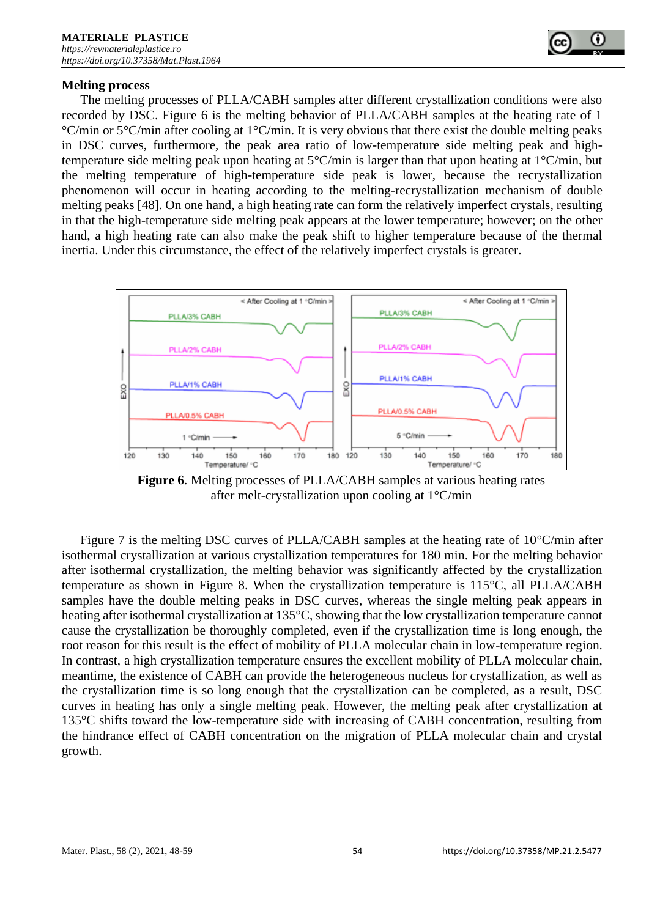#### **Melting process**

The melting processes of PLLA/CABH samples after different crystallization conditions were also recorded by DSC. Figure 6 is the melting behavior of PLLA/CABH samples at the heating rate of 1 °C/min or 5°C/min after cooling at 1°C/min. It is very obvious that there exist the double melting peaks in DSC curves, furthermore, the peak area ratio of low-temperature side melting peak and hightemperature side melting peak upon heating at 5°C/min is larger than that upon heating at 1°C/min, but the melting temperature of high-temperature side peak is lower, because the recrystallization phenomenon will occur in heating according to the melting-recrystallization mechanism of double melting peaks [48]. On one hand, a high heating rate can form the relatively imperfect crystals, resulting in that the high-temperature side melting peak appears at the lower temperature; however; on the other hand, a high heating rate can also make the peak shift to higher temperature because of the thermal inertia. Under this circumstance, the effect of the relatively imperfect crystals is greater.



**Figure 6**. Melting processes of PLLA/CABH samples at various heating rates after melt-crystallization upon cooling at 1°C/min

Figure 7 is the melting DSC curves of PLLA/CABH samples at the heating rate of 10°C/min after isothermal crystallization at various crystallization temperatures for 180 min. For the melting behavior after isothermal crystallization, the melting behavior was significantly affected by the crystallization temperature as shown in Figure 8. When the crystallization temperature is 115°C, all PLLA/CABH samples have the double melting peaks in DSC curves, whereas the single melting peak appears in heating after isothermal crystallization at 135°C, showing that the low crystallization temperature cannot cause the crystallization be thoroughly completed, even if the crystallization time is long enough, the root reason for this result is the effect of mobility of PLLA molecular chain in low-temperature region. In contrast, a high crystallization temperature ensures the excellent mobility of PLLA molecular chain, meantime, the existence of CABH can provide the heterogeneous nucleus for crystallization, as well as the crystallization time is so long enough that the crystallization can be completed, as a result, DSC curves in heating has only a single melting peak. However, the melting peak after crystallization at 135°C shifts toward the low-temperature side with increasing of CABH concentration, resulting from the hindrance effect of CABH concentration on the migration of PLLA molecular chain and crystal growth.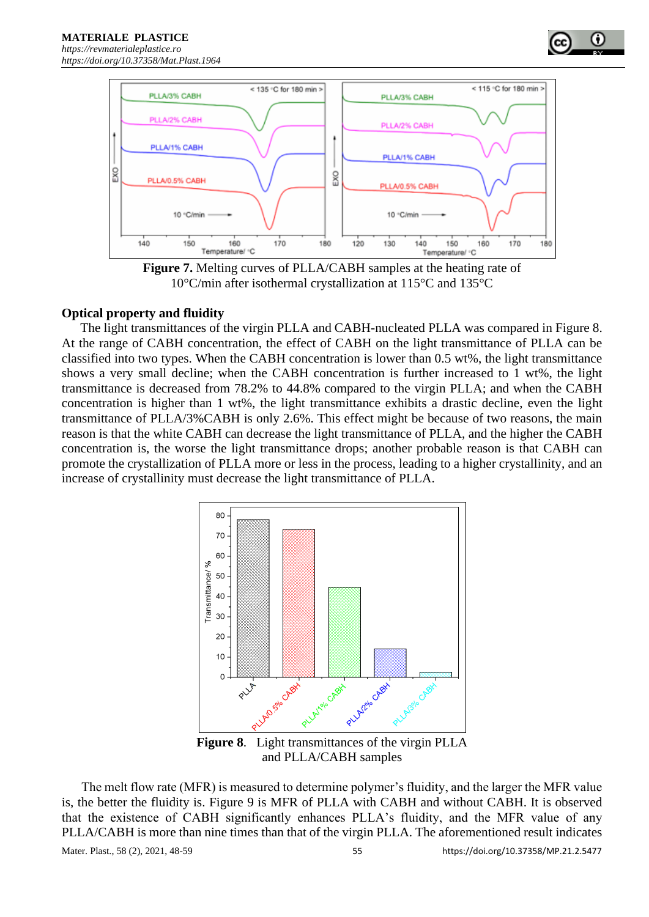



**Figure 7.** Melting curves of PLLA/CABH samples at the heating rate of 10°C/min after isothermal crystallization at 115°C and 135°C

#### **Optical property and fluidity**

The light transmittances of the virgin PLLA and CABH-nucleated PLLA was compared in Figure 8. At the range of CABH concentration, the effect of CABH on the light transmittance of PLLA can be classified into two types. When the CABH concentration is lower than 0.5 wt%, the light transmittance shows a very small decline; when the CABH concentration is further increased to 1 wt%, the light transmittance is decreased from 78.2% to 44.8% compared to the virgin PLLA; and when the CABH concentration is higher than 1 wt%, the light transmittance exhibits a drastic decline, even the light transmittance of PLLA/3%CABH is only 2.6%. This effect might be because of two reasons, the main reason is that the white CABH can decrease the light transmittance of PLLA, and the higher the CABH concentration is, the worse the light transmittance drops; another probable reason is that CABH can promote the crystallization of PLLA more or less in the process, leading to a higher crystallinity, and an increase of crystallinity must decrease the light transmittance of PLLA.



The melt flow rate (MFR) is measured to determine polymer's fluidity, and the larger the MFR value is, the better the fluidity is. Figure 9 is MFR of PLLA with CABH and without CABH. It is observed that the existence of CABH significantly enhances PLLA's fluidity, and the MFR value of any PLLA/CABH is more than nine times than that of the virgin PLLA. The aforementioned result indicates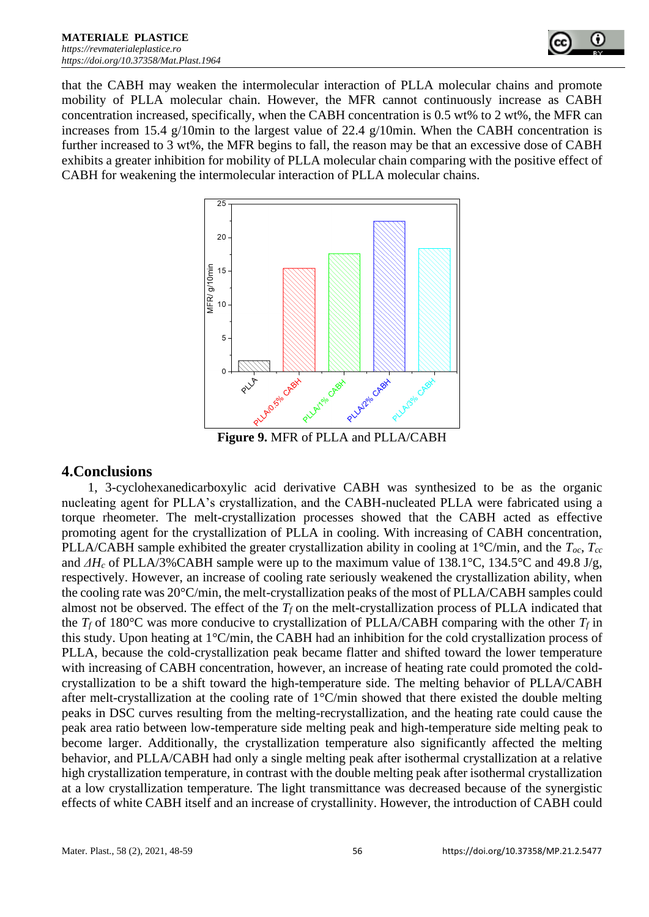

that the CABH may weaken the intermolecular interaction of PLLA molecular chains and promote mobility of PLLA molecular chain. However, the MFR cannot continuously increase as CABH concentration increased, specifically, when the CABH concentration is 0.5 wt% to 2 wt%, the MFR can increases from 15.4 g/10min to the largest value of 22.4 g/10min. When the CABH concentration is further increased to 3 wt%, the MFR begins to fall, the reason may be that an excessive dose of CABH exhibits a greater inhibition for mobility of PLLA molecular chain comparing with the positive effect of CABH for weakening the intermolecular interaction of PLLA molecular chains.



**Figure 9.** MFR of PLLA and PLLA/CABH

## **4.Conclusions**

1, 3-cyclohexanedicarboxylic acid derivative CABH was synthesized to be as the organic nucleating agent for PLLA's crystallization, and the CABH-nucleated PLLA were fabricated using a torque rheometer. The melt-crystallization processes showed that the CABH acted as effective promoting agent for the crystallization of PLLA in cooling. With increasing of CABH concentration, PLLA/CABH sample exhibited the greater crystallization ability in cooling at 1°C/min, and the *Toc*, *Tcc* and *ΔH<sup>c</sup>* of PLLA/3%CABH sample were up to the maximum value of 138.1°C, 134.5°C and 49.8 J/g, respectively. However, an increase of cooling rate seriously weakened the crystallization ability, when the cooling rate was 20°C/min, the melt-crystallization peaks of the most of PLLA/CABH samples could almost not be observed. The effect of the  $T_f$  on the melt-crystallization process of PLLA indicated that the  $T_f$  of 180°C was more conducive to crystallization of PLLA/CABH comparing with the other  $T_f$  in this study. Upon heating at 1°C/min, the CABH had an inhibition for the cold crystallization process of PLLA, because the cold-crystallization peak became flatter and shifted toward the lower temperature with increasing of CABH concentration, however, an increase of heating rate could promoted the coldcrystallization to be a shift toward the high-temperature side. The melting behavior of PLLA/CABH after melt-crystallization at the cooling rate of 1°C/min showed that there existed the double melting peaks in DSC curves resulting from the melting-recrystallization, and the heating rate could cause the peak area ratio between low-temperature side melting peak and high-temperature side melting peak to become larger. Additionally, the crystallization temperature also significantly affected the melting behavior, and PLLA/CABH had only a single melting peak after isothermal crystallization at a relative high crystallization temperature, in contrast with the double melting peak after isothermal crystallization at a low crystallization temperature. The light transmittance was decreased because of the synergistic effects of white CABH itself and an increase of crystallinity. However, the introduction of CABH could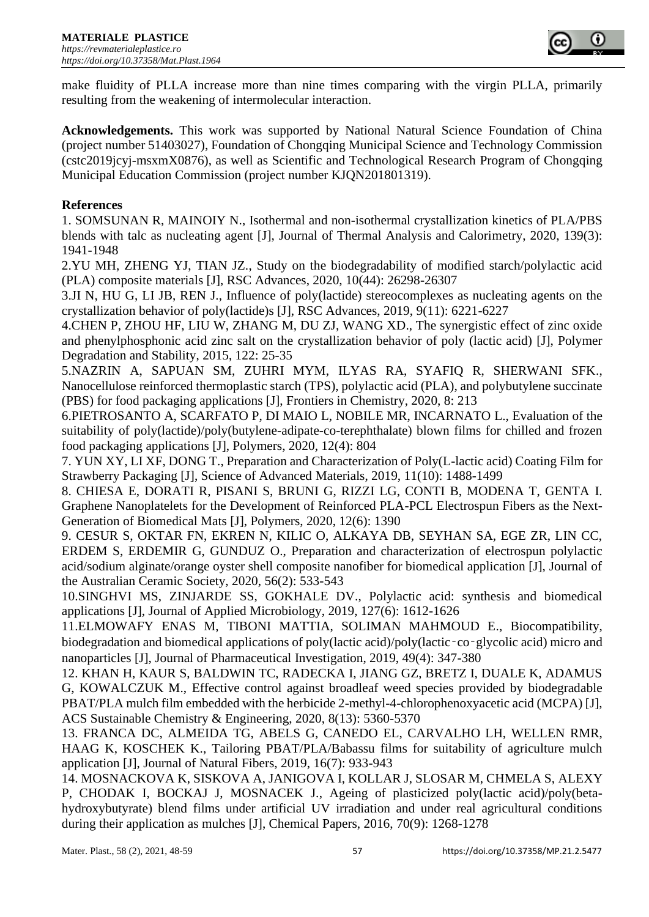

make fluidity of PLLA increase more than nine times comparing with the virgin PLLA, primarily resulting from the weakening of intermolecular interaction.

**Acknowledgements.** This work was supported by National Natural Science Foundation of China (project number 51403027), Foundation of Chongqing Municipal Science and Technology Commission (cstc2019jcyj-msxmX0876), as well as Scientific and Technological Research Program of Chongqing Municipal Education Commission (project number KJQN201801319).

## **References**

1. SOMSUNAN R, MAINOIY N., Isothermal and non-isothermal crystallization kinetics of PLA/PBS blends with talc as nucleating agent [J], Journal of Thermal Analysis and Calorimetry, 2020, 139(3): 1941-1948

2.YU MH, ZHENG YJ, TIAN JZ., Study on the biodegradability of modified starch/polylactic acid (PLA) composite materials [J], RSC Advances, 2020, 10(44): 26298-26307

3.JI N, HU G, LI JB, REN J., Influence of poly(lactide) stereocomplexes as nucleating agents on the crystallization behavior of poly(lactide)s [J], RSC Advances, 2019, 9(11): 6221-6227

4.CHEN P, ZHOU HF, LIU W, ZHANG M, DU ZJ, WANG XD., The synergistic effect of zinc oxide and phenylphosphonic acid zinc salt on the crystallization behavior of poly (lactic acid) [J], Polymer Degradation and Stability, 2015, 122: 25-35

5.NAZRIN A, SAPUAN SM, ZUHRI MYM, ILYAS RA, SYAFIQ R, SHERWANI SFK., Nanocellulose reinforced thermoplastic starch (TPS), polylactic acid (PLA), and polybutylene succinate (PBS) for food packaging applications [J], Frontiers in Chemistry, 2020, 8: 213

6.PIETROSANTO A, SCARFATO P, DI MAIO L, NOBILE MR, INCARNATO L., Evaluation of the suitability of poly(lactide)/poly(butylene-adipate-co-terephthalate) blown films for chilled and frozen food packaging applications [J], Polymers, 2020, 12(4): 804

7. YUN XY, LI XF, DONG T., Preparation and Characterization of Poly(L-lactic acid) Coating Film for Strawberry Packaging [J], Science of Advanced Materials, 2019, 11(10): 1488-1499

8. CHIESA E, DORATI R, PISANI S, BRUNI G, RIZZI LG, CONTI B, MODENA T, GENTA I. Graphene Nanoplatelets for the Development of Reinforced PLA-PCL Electrospun Fibers as the Next-Generation of Biomedical Mats [J], Polymers, 2020, 12(6): 1390

9. CESUR S, OKTAR FN, EKREN N, KILIC O, ALKAYA DB, SEYHAN SA, EGE ZR, LIN CC, ERDEM S, ERDEMIR G, GUNDUZ O., Preparation and characterization of electrospun polylactic acid/sodium alginate/orange oyster shell composite nanofiber for biomedical application [J], Journal of the Australian Ceramic Society, 2020, 56(2): 533-543

10.SINGHVI MS, ZINJARDE SS, GOKHALE DV., Polylactic acid: synthesis and biomedical applications [J], Journal of Applied Microbiology, 2019, 127(6): 1612-1626

11.ELMOWAFY ENAS M, TIBONI MATTIA, SOLIMAN MAHMOUD E., Biocompatibility, biodegradation and biomedical applications of poly(lactic acid)/poly(lactic-co-glycolic acid) micro and nanoparticles [J], Journal of Pharmaceutical Investigation, 2019, 49(4): 347-380

12. KHAN H, KAUR S, BALDWIN TC, RADECKA I, JIANG GZ, BRETZ I, DUALE K, ADAMUS G, KOWALCZUK M., Effective control against broadleaf weed species provided by biodegradable PBAT/PLA mulch film embedded with the herbicide 2-methyl-4-chlorophenoxyacetic acid (MCPA) [J], ACS Sustainable Chemistry & Engineering, 2020, 8(13): 5360-5370

13. FRANCA DC, ALMEIDA TG, ABELS G, CANEDO EL, CARVALHO LH, WELLEN RMR, HAAG K, KOSCHEK K., Tailoring PBAT/PLA/Babassu films for suitability of agriculture mulch application [J], Journal of Natural Fibers, 2019, 16(7): 933-943

14. MOSNACKOVA K, SISKOVA A, JANIGOVA I, KOLLAR J, SLOSAR M, CHMELA S, ALEXY P, CHODAK I, BOCKAJ J, MOSNACEK J., Ageing of plasticized poly(lactic acid)/poly(betahydroxybutyrate) blend films under artificial UV irradiation and under real agricultural conditions during their application as mulches [J], Chemical Papers, 2016, 70(9): 1268-1278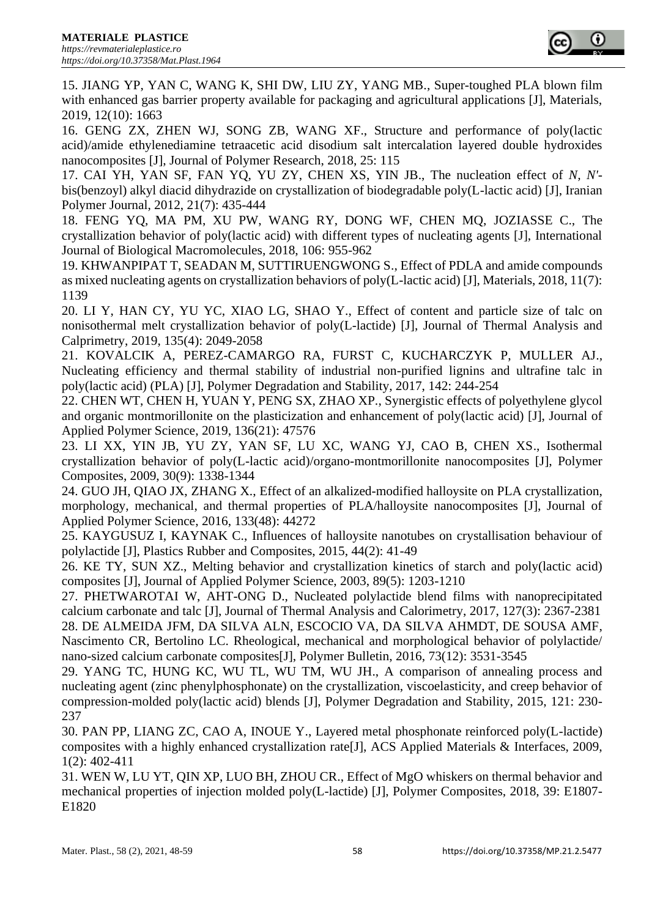

15. JIANG YP, YAN C, WANG K, SHI DW, LIU ZY, YANG MB., Super-toughed PLA blown film with enhanced gas barrier property available for packaging and agricultural applications [J], Materials, 2019, 12(10): 1663

16. GENG ZX, ZHEN WJ, SONG ZB, WANG XF., Structure and performance of poly(lactic acid)/amide ethylenediamine tetraacetic acid disodium salt intercalation layered double hydroxides nanocomposites [J], Journal of Polymer Research, 2018, 25: 115

17. CAI YH, YAN SF, FAN YQ, YU ZY, CHEN XS, YIN JB., The nucleation effect of *N, N'* bis(benzoyl) alkyl diacid dihydrazide on crystallization of biodegradable poly(L-lactic acid) [J], Iranian Polymer Journal, 2012, 21(7): 435-444

18. FENG YQ, MA PM, XU PW, WANG RY, DONG WF, CHEN MQ, JOZIASSE C., The crystallization behavior of poly(lactic acid) with different types of nucleating agents [J], International Journal of Biological Macromolecules, 2018, 106: 955-962

19. KHWANPIPAT T, SEADAN M, SUTTIRUENGWONG S., Effect of PDLA and amide compounds as mixed nucleating agents on crystallization behaviors of poly(L-lactic acid) [J], Materials, 2018, 11(7): 1139

20. LI Y, HAN CY, YU YC, XIAO LG, SHAO Y., Effect of content and particle size of talc on nonisothermal melt crystallization behavior of poly(L-lactide) [J], Journal of Thermal Analysis and Calprimetry, 2019, 135(4): 2049-2058

21. KOVALCIK A, PEREZ-CAMARGO RA, FURST C, KUCHARCZYK P, MULLER AJ., Nucleating efficiency and thermal stability of industrial non-purified lignins and ultrafine talc in poly(lactic acid) (PLA) [J], Polymer Degradation and Stability, 2017, 142: 244-254

22. CHEN WT, CHEN H, YUAN Y, PENG SX, ZHAO XP., Synergistic effects of polyethylene glycol and organic montmorillonite on the plasticization and enhancement of poly(lactic acid) [J], Journal of Applied Polymer Science, 2019, 136(21): 47576

23. LI XX, YIN JB, YU ZY, YAN SF, LU XC, WANG YJ, CAO B, CHEN XS., Isothermal crystallization behavior of poly(L-lactic acid)/organo-montmorillonite nanocomposites [J], Polymer Composites, 2009, 30(9): 1338-1344

24. GUO JH, QIAO JX, ZHANG X., Effect of an alkalized-modified halloysite on PLA crystallization, morphology, mechanical, and thermal properties of PLA/halloysite nanocomposites [J], Journal of Applied Polymer Science, 2016, 133(48): 44272

25. KAYGUSUZ I, KAYNAK C., Influences of halloysite nanotubes on crystallisation behaviour of polylactide [J], Plastics Rubber and Composites, 2015, 44(2): 41-49

26. KE TY, SUN XZ., Melting behavior and crystallization kinetics of starch and poly(lactic acid) composites [J], Journal of Applied Polymer Science, 2003, 89(5): 1203-1210

27. PHETWAROTAI W, AHT-ONG D., Nucleated polylactide blend films with nanoprecipitated calcium carbonate and talc [J], Journal of Thermal Analysis and Calorimetry, 2017, 127(3): 2367-2381 28. DE ALMEIDA JFM, DA SILVA ALN, ESCOCIO VA, DA SILVA AHMDT, DE SOUSA AMF, Nascimento CR, Bertolino LC. Rheological, mechanical and morphological behavior of polylactide/ nano-sized calcium carbonate composites[J], Polymer Bulletin, 2016, 73(12): 3531-3545

29. YANG TC, HUNG KC, WU TL, WU TM, WU JH., A comparison of annealing process and nucleating agent (zinc phenylphosphonate) on the crystallization, viscoelasticity, and creep behavior of compression-molded poly(lactic acid) blends [J], Polymer Degradation and Stability, 2015, 121: 230- 237

30. PAN PP, LIANG ZC, CAO A, INOUE Y., Layered metal phosphonate reinforced poly(L-lactide) composites with a highly enhanced crystallization rate[J], ACS Applied Materials & Interfaces, 2009, 1(2): 402-411

31. WEN W, LU YT, QIN XP, LUO BH, ZHOU CR., Effect of MgO whiskers on thermal behavior and mechanical properties of injection molded poly(L-lactide) [J], Polymer Composites, 2018, 39: E1807- E1820